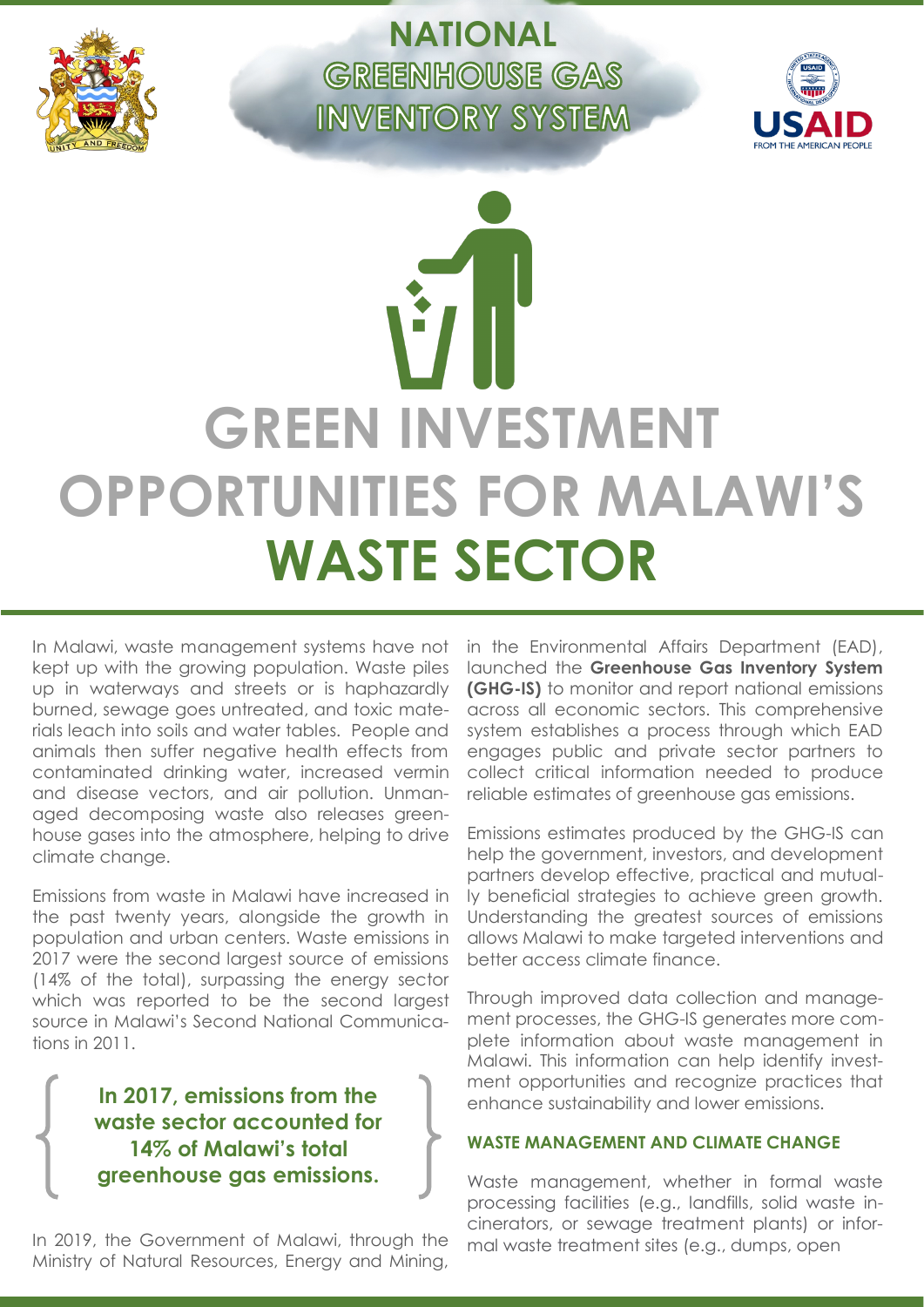

**NATIONAL GREENHOUSE GAS INVENTORY SYSTEM** 



# **GREEN INVESTMENT OPPORTUNITIES FOR MALAWI'S WASTE SECTOR**

In Malawi, waste management systems have not kept up with the growing population. Waste piles up in waterways and streets or is haphazardly burned, sewage goes untreated, and toxic materials leach into soils and water tables. People and animals then suffer negative health effects from contaminated drinking water, increased vermin and disease vectors, and air pollution. Unmanaged decomposing waste also releases greenhouse gases into the atmosphere, helping to drive climate change.

Emissions from waste in Malawi have increased in the past twenty years, alongside the growth in population and urban centers. Waste emissions in 2017 were the second largest source of emissions (14% of the total), surpassing the energy sector which was reported to be the second largest source in Malawi's Second National Communications in 2011.

> **In 2017, emissions from the waste sector accounted for 14% of Malawi's total greenhouse gas emissions.**

In 2019, the Government of Malawi, through the Ministry of Natural Resources, Energy and Mining, in the Environmental Affairs Department (EAD), launched the **Greenhouse Gas Inventory System (GHG-IS)** to monitor and report national emissions across all economic sectors. This comprehensive system establishes a process through which EAD engages public and private sector partners to collect critical information needed to produce reliable estimates of greenhouse gas emissions.

Emissions estimates produced by the GHG-IS can help the government, investors, and development partners develop effective, practical and mutually beneficial strategies to achieve green growth. Understanding the greatest sources of emissions allows Malawi to make targeted interventions and better access climate finance.

Through improved data collection and management processes, the GHG-IS generates more complete information about waste management in Malawi. This information can help identify investment opportunities and recognize practices that enhance sustainability and lower emissions.

# **WASTE MANAGEMENT AND CLIMATE CHANGE**

Waste management, whether in formal waste processing facilities (e.g., landfills, solid waste incinerators, or sewage treatment plants) or informal waste treatment sites (e.g., dumps, open